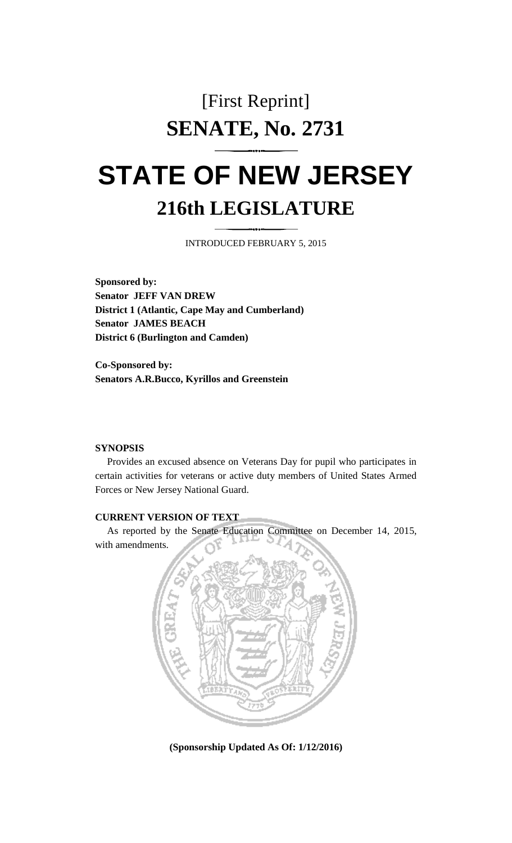## [First Reprint] **SENATE, No. 2731**

## **STATE OF NEW JERSEY 216th LEGISLATURE**

INTRODUCED FEBRUARY 5, 2015

**Sponsored by: Senator JEFF VAN DREW District 1 (Atlantic, Cape May and Cumberland) Senator JAMES BEACH District 6 (Burlington and Camden)**

**Co-Sponsored by: Senators A.R.Bucco, Kyrillos and Greenstein**

## **SYNOPSIS**

Provides an excused absence on Veterans Day for pupil who participates in certain activities for veterans or active duty members of United States Armed Forces or New Jersey National Guard.

## **CURRENT VERSION OF TEXT**

As reported by the Senate Education Committee on December 14, 2015, with amendments.



**(Sponsorship Updated As Of: 1/12/2016)**